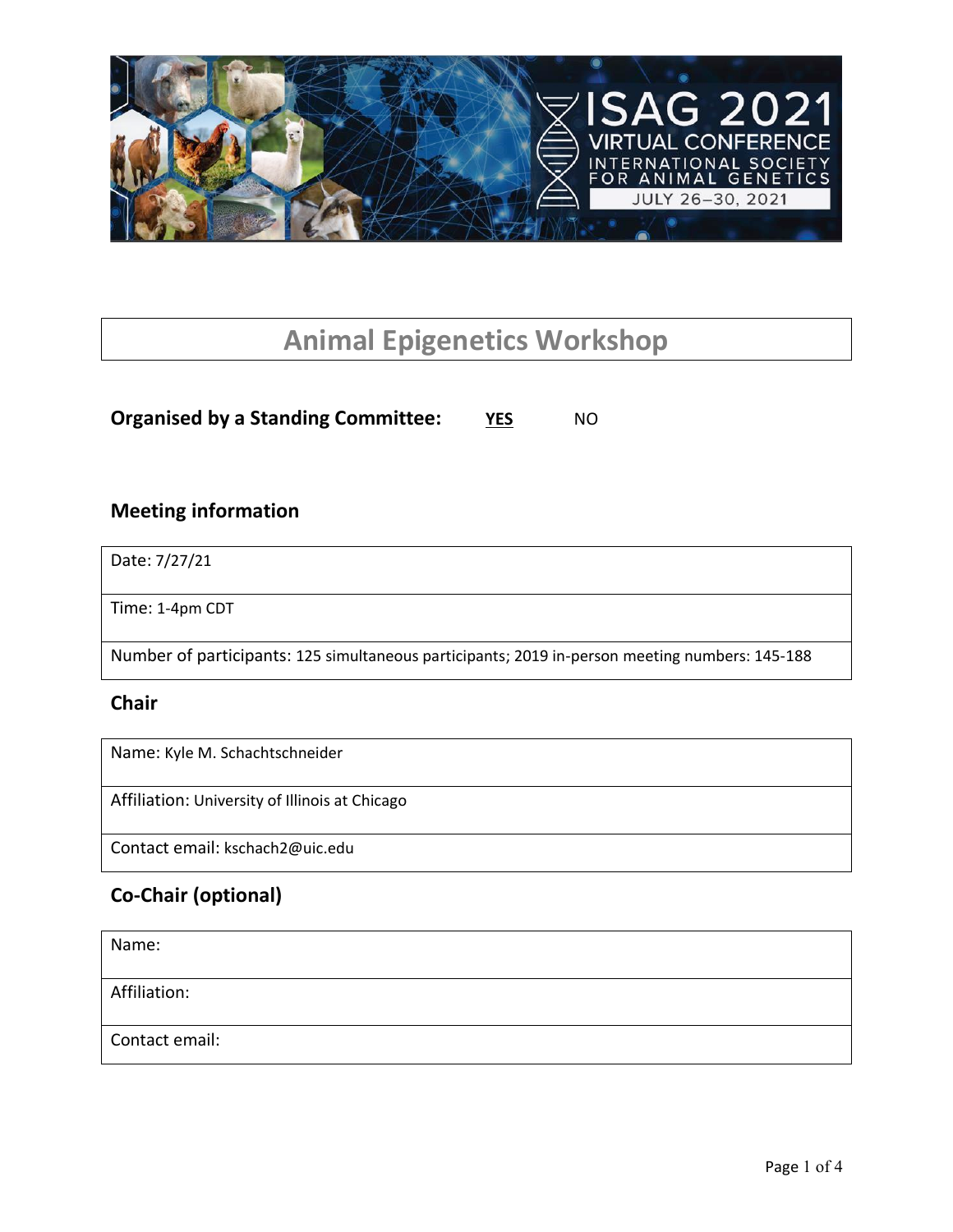

# **Animal Epigenetics Workshop**

**Organised by a Standing Committee: YES** NO

### **Meeting information**

Date: 7/27/21

Time: 1-4pm CDT

Number of participants: 125 simultaneous participants; 2019 in-person meeting numbers: 145-188

### **Chair**

Name: Kyle M. Schachtschneider

Affiliation: University of Illinois at Chicago

Contact email: kschach2@uic.edu

### **Co-Chair (optional)**

| Name:          |  |
|----------------|--|
| Affiliation:   |  |
| Contact email: |  |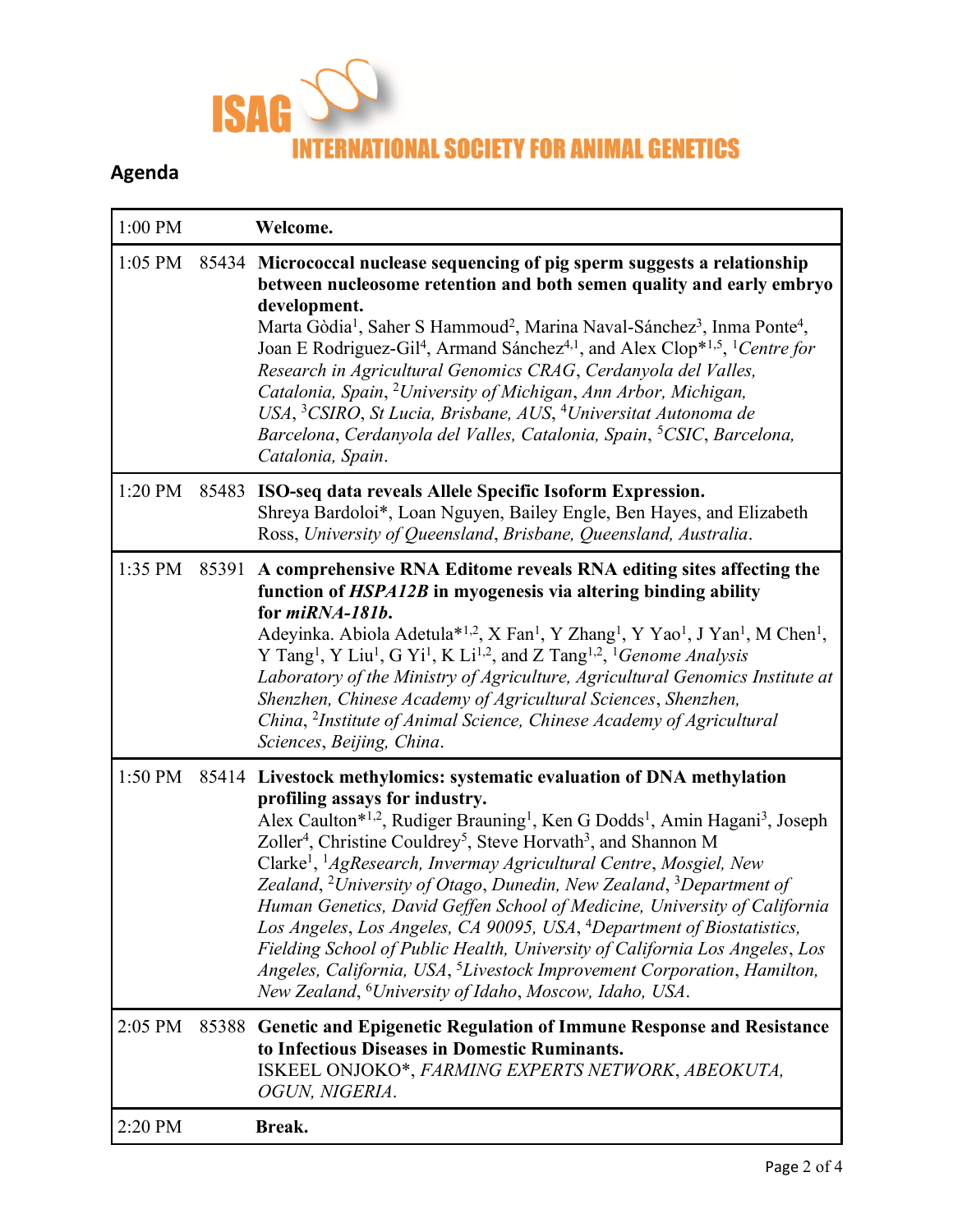

## **Agenda**

| 1:00 PM   |       | Welcome.                                                                                                                                                                                                                                                                                                                                                                                                                                                                                                                                                                                                                                                                                                                                                                                                                                                                                                                                   |
|-----------|-------|--------------------------------------------------------------------------------------------------------------------------------------------------------------------------------------------------------------------------------------------------------------------------------------------------------------------------------------------------------------------------------------------------------------------------------------------------------------------------------------------------------------------------------------------------------------------------------------------------------------------------------------------------------------------------------------------------------------------------------------------------------------------------------------------------------------------------------------------------------------------------------------------------------------------------------------------|
| $1:05$ PM |       | 85434 Micrococcal nuclease sequencing of pig sperm suggests a relationship<br>between nucleosome retention and both semen quality and early embryo<br>development.<br>Marta Gòdia <sup>1</sup> , Saher S Hammoud <sup>2</sup> , Marina Naval-Sánchez <sup>3</sup> , Inma Ponte <sup>4</sup> ,<br>Joan E Rodriguez-Gil <sup>4</sup> , Armand Sánchez <sup>4,1</sup> , and Alex Clop <sup>*1,5</sup> , <sup>1</sup> Centre for<br>Research in Agricultural Genomics CRAG, Cerdanyola del Valles,<br>Catalonia, Spain, <sup>2</sup> University of Michigan, Ann Arbor, Michigan,<br>USA, <sup>3</sup> CSIRO, St Lucia, Brisbane, AUS, <sup>4</sup> Universitat Autonoma de<br>Barcelona, Cerdanyola del Valles, Catalonia, Spain, <sup>5</sup> CSIC, Barcelona,<br>Catalonia, Spain.                                                                                                                                                          |
| 1:20 PM   | 85483 | ISO-seq data reveals Allele Specific Isoform Expression.<br>Shreya Bardoloi*, Loan Nguyen, Bailey Engle, Ben Hayes, and Elizabeth<br>Ross, University of Queensland, Brisbane, Queensland, Australia.                                                                                                                                                                                                                                                                                                                                                                                                                                                                                                                                                                                                                                                                                                                                      |
| 1:35 PM   | 85391 | A comprehensive RNA Editome reveals RNA editing sites affecting the<br>function of HSPA12B in myogenesis via altering binding ability<br>for miRNA-181b.<br>Adeyinka. Abiola Adetula* <sup>1,2</sup> , X Fan <sup>1</sup> , Y Zhang <sup>1</sup> , Y Yao <sup>1</sup> , J Yan <sup>1</sup> , M Chen <sup>1</sup> ,<br>Y Tang <sup>1</sup> , Y Liu <sup>1</sup> , G Yi <sup>1</sup> , K Li <sup>1,2</sup> , and Z Tang <sup>1,2</sup> , <sup>1</sup> Genome Analysis<br>Laboratory of the Ministry of Agriculture, Agricultural Genomics Institute at<br>Shenzhen, Chinese Academy of Agricultural Sciences, Shenzhen,<br>China, <sup>2</sup> Institute of Animal Science, Chinese Academy of Agricultural<br>Sciences, Beijing, China.                                                                                                                                                                                                     |
| 1:50 PM   |       | 85414 Livestock methylomics: systematic evaluation of DNA methylation<br>profiling assays for industry.<br>Alex Caulton*1,2, Rudiger Brauning <sup>1</sup> , Ken G Dodds <sup>1</sup> , Amin Hagani <sup>3</sup> , Joseph<br>Zoller <sup>4</sup> , Christine Couldrey <sup>5</sup> , Steve Horvath <sup>3</sup> , and Shannon M<br>Clarke <sup>1</sup> , <sup>1</sup> AgResearch, Invermay Agricultural Centre, Mosgiel, New<br>Zealand, <sup>2</sup> University of Otago, Dunedin, New Zealand, <sup>3</sup> Department of<br>Human Genetics, David Geffen School of Medicine, University of California<br>Los Angeles, Los Angeles, CA 90095, USA, <sup>4</sup> Department of Biostatistics,<br>Fielding School of Public Health, University of California Los Angeles, Los<br>Angeles, California, USA, <sup>5</sup> Livestock Improvement Corporation, Hamilton,<br>New Zealand, <sup>6</sup> University of Idaho, Moscow, Idaho, USA. |
| 2:05 PM   |       | 85388 Genetic and Epigenetic Regulation of Immune Response and Resistance<br>to Infectious Diseases in Domestic Ruminants.<br>ISKEEL ONJOKO*, FARMING EXPERTS NETWORK, ABEOKUTA,<br>OGUN, NIGERIA.                                                                                                                                                                                                                                                                                                                                                                                                                                                                                                                                                                                                                                                                                                                                         |
| 2:20 PM   |       | Break.                                                                                                                                                                                                                                                                                                                                                                                                                                                                                                                                                                                                                                                                                                                                                                                                                                                                                                                                     |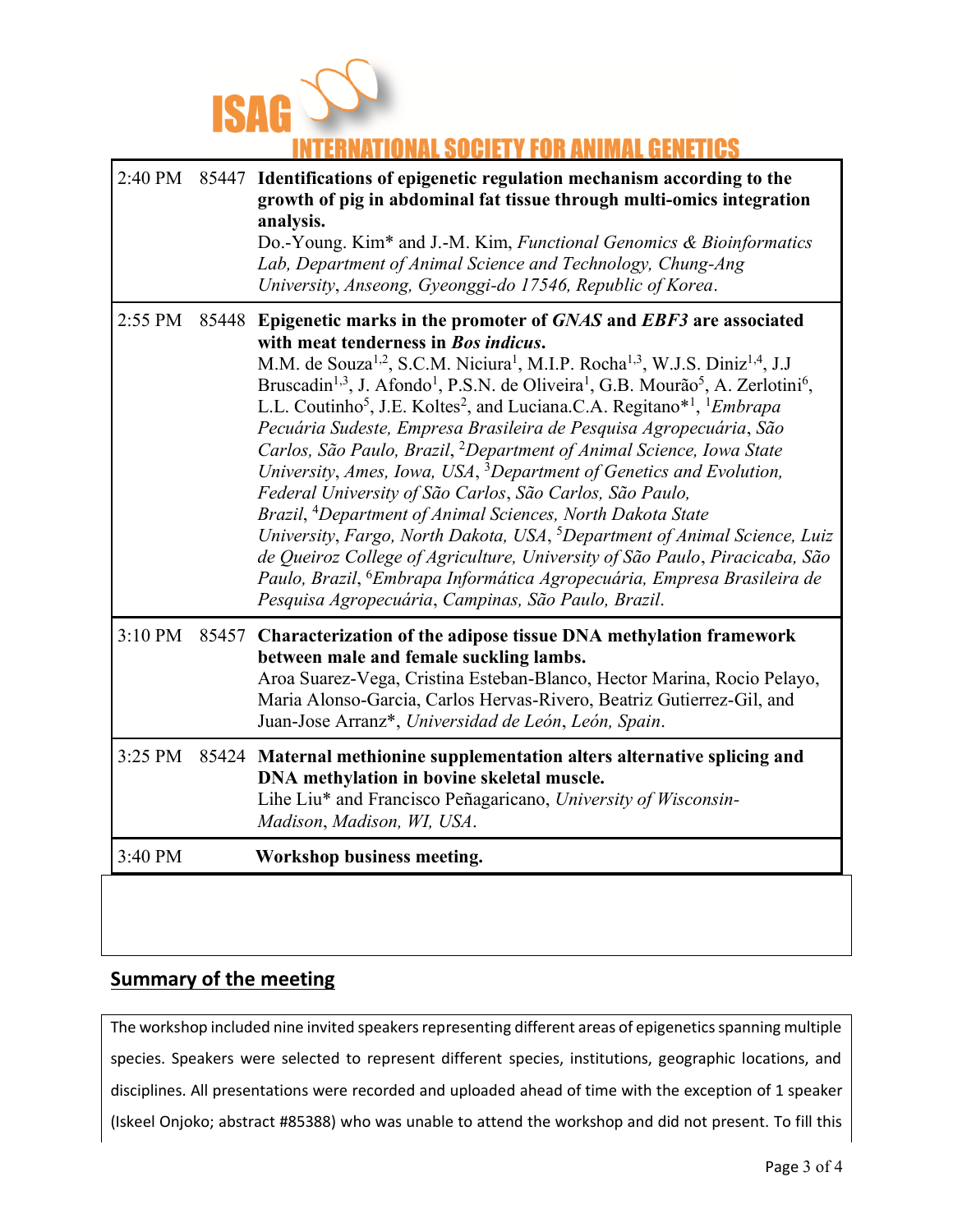

## **FOR ANIMAL**

|         | 2:40 PM 85447 Identifications of epigenetic regulation mechanism according to the<br>growth of pig in abdominal fat tissue through multi-omics integration<br>analysis.<br>Do.-Young. Kim* and J.-M. Kim, Functional Genomics & Bioinformatics<br>Lab, Department of Animal Science and Technology, Chung-Ang<br>University, Anseong, Gyeonggi-do 17546, Republic of Korea.                                                                                                                                                                                                                                                                                                                                                                                                                                                                                                                                                                                                                                                                                                                                                                                                                                                                      |
|---------|--------------------------------------------------------------------------------------------------------------------------------------------------------------------------------------------------------------------------------------------------------------------------------------------------------------------------------------------------------------------------------------------------------------------------------------------------------------------------------------------------------------------------------------------------------------------------------------------------------------------------------------------------------------------------------------------------------------------------------------------------------------------------------------------------------------------------------------------------------------------------------------------------------------------------------------------------------------------------------------------------------------------------------------------------------------------------------------------------------------------------------------------------------------------------------------------------------------------------------------------------|
|         | 2:55 PM 85448 Epigenetic marks in the promoter of GNAS and EBF3 are associated<br>with meat tenderness in Bos indicus.<br>M.M. de Souza <sup>1,2</sup> , S.C.M. Niciura <sup>1</sup> , M.I.P. Rocha <sup>1,3</sup> , W.J.S. Diniz <sup>1,4</sup> , J.J<br>Bruscadin <sup>1,3</sup> , J. Afondo <sup>1</sup> , P.S.N. de Oliveira <sup>1</sup> , G.B. Mourão <sup>5</sup> , A. Zerlotini <sup>6</sup> ,<br>L.L. Coutinho <sup>5</sup> , J.E. Koltes <sup>2</sup> , and Luciana.C.A. Regitano <sup>*1</sup> , <sup>1</sup> <i>Embrapa</i><br>Pecuária Sudeste, Empresa Brasileira de Pesquisa Agropecuária, São<br>Carlos, São Paulo, Brazil, <sup>2</sup> Department of Animal Science, Iowa State<br>University, Ames, Iowa, USA, <sup>3</sup> Department of Genetics and Evolution,<br>Federal University of São Carlos, São Carlos, São Paulo,<br>Brazil, <sup>4</sup> Department of Animal Sciences, North Dakota State<br>University, Fargo, North Dakota, USA, <sup>5</sup> Department of Animal Science, Luiz<br>de Queiroz College of Agriculture, University of São Paulo, Piracicaba, São<br>Paulo, Brazil, <sup>6</sup> Embrapa Informática Agropecuária, Empresa Brasileira de<br>Pesquisa Agropecuária, Campinas, São Paulo, Brazil. |
| 3:10 PM | 85457 Characterization of the adipose tissue DNA methylation framework<br>between male and female suckling lambs.<br>Aroa Suarez-Vega, Cristina Esteban-Blanco, Hector Marina, Rocio Pelayo,<br>Maria Alonso-Garcia, Carlos Hervas-Rivero, Beatriz Gutierrez-Gil, and<br>Juan-Jose Arranz*, Universidad de León, León, Spain.                                                                                                                                                                                                                                                                                                                                                                                                                                                                                                                                                                                                                                                                                                                                                                                                                                                                                                                    |
| 3:25 PM | 85424 Maternal methionine supplementation alters alternative splicing and<br>DNA methylation in bovine skeletal muscle.<br>Lihe Liu* and Francisco Peñagaricano, University of Wisconsin-<br>Madison, Madison, WI, USA.                                                                                                                                                                                                                                                                                                                                                                                                                                                                                                                                                                                                                                                                                                                                                                                                                                                                                                                                                                                                                          |
| 3:40 PM | Workshop business meeting.                                                                                                                                                                                                                                                                                                                                                                                                                                                                                                                                                                                                                                                                                                                                                                                                                                                                                                                                                                                                                                                                                                                                                                                                                       |

### **Summary of the meeting**

The workshop included nine invited speakers representing different areas of epigenetics spanning multiple species. Speakers were selected to represent different species, institutions, geographic locations, and disciplines. All presentations were recorded and uploaded ahead of time with the exception of 1 speaker (Iskeel Onjoko; abstract #85388) who was unable to attend the workshop and did not present. To fill this